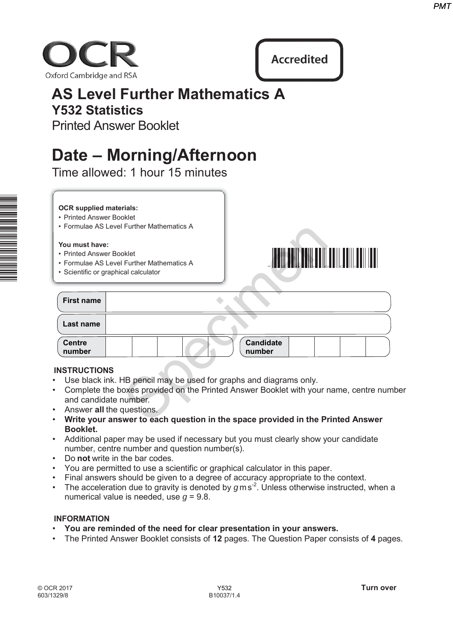



# **AS Level Further Mathematics A Y532 Statistics**

# **Date – Morning/Afternoon**

### **OCR supplied materials:**

- Printed Answer Booklet
- Formulae AS Level Further Mathematics A

### **You must have:**

- Printed Answer Booklet
- Formulae AS Level Further Mathematics A
- Scientific or graphical calculator



|                                                                                                                                                 | PM1                                                                                                                                                                       |
|-------------------------------------------------------------------------------------------------------------------------------------------------|---------------------------------------------------------------------------------------------------------------------------------------------------------------------------|
| ford Cambridge and RSA                                                                                                                          | <b>Accredited</b>                                                                                                                                                         |
| <b>AS Level Further Mathematics A</b><br><b>Y532 Statistics</b>                                                                                 |                                                                                                                                                                           |
| <b>Printed Answer Booklet</b>                                                                                                                   |                                                                                                                                                                           |
| Date – Morning/Afternoon<br>Time allowed: 1 hour 15 minutes                                                                                     |                                                                                                                                                                           |
|                                                                                                                                                 |                                                                                                                                                                           |
| <b>OCR supplied materials:</b><br>• Printed Answer Booklet<br>• Formulae AS Level Further Mathematics A                                         |                                                                                                                                                                           |
| You must have:<br>• Printed Answer Booklet<br>• Formulae AS Level Further Mathematics A<br>• Scientific or graphical calculator                 |                                                                                                                                                                           |
| <b>First name</b>                                                                                                                               |                                                                                                                                                                           |
| Last name                                                                                                                                       |                                                                                                                                                                           |
| <b>Centre</b><br>number                                                                                                                         | <b>Candidate</b><br>number                                                                                                                                                |
| <b>INSTRUCTIONS</b><br>Use black ink. HB pencil may be used for graphs and diagrams only.<br>and candidate number.<br>Answer all the questions. | Complete the boxes provided on the Printed Answer Booklet with your name, centre number<br>Write your answer to each question in the space provided in the Printed Answer |

# **INSTRUCTIONS**

- Use black ink. HB pencil may be used for graphs and diagrams only.
- Complete the boxes provided on the Printed Answer Booklet with your name, centre number and candidate number.
- Answer **all** the questions.
- **Write your answer to each question in the space provided in the Printed Answer Booklet.**
- Additional paper may be used if necessary but you must clearly show your candidate number, centre number and question number(s).
- Do **not** write in the bar codes.
- You are permitted to use a scientific or graphical calculator in this paper.
- Final answers should be given to a degree of accuracy appropriate to the context.
- The acceleration due to gravity is denoted by  $g$ ms<sup>-2</sup>. Unless otherwise instructed, when a numerical value is needed, use *g* = 9.8.

# **INFORMATION**

- **You are reminded of the need for clear presentation in your answers.**
- The Printed Answer Booklet consists of **12** pages. The Question Paper consists of **4** pages.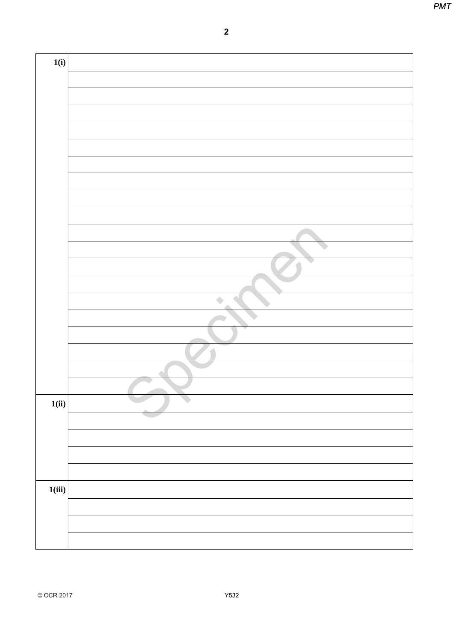|        | $\overline{\mathbf{2}}$ |  |
|--------|-------------------------|--|
| 1(i)   |                         |  |
|        |                         |  |
|        |                         |  |
|        |                         |  |
|        |                         |  |
|        |                         |  |
|        |                         |  |
|        |                         |  |
|        |                         |  |
|        |                         |  |
|        |                         |  |
|        |                         |  |
|        | ۸                       |  |
|        |                         |  |
|        |                         |  |
|        |                         |  |
|        |                         |  |
| 1(ii)  |                         |  |
|        |                         |  |
|        |                         |  |
|        |                         |  |
|        |                         |  |
| 1(iii) |                         |  |
|        |                         |  |
|        |                         |  |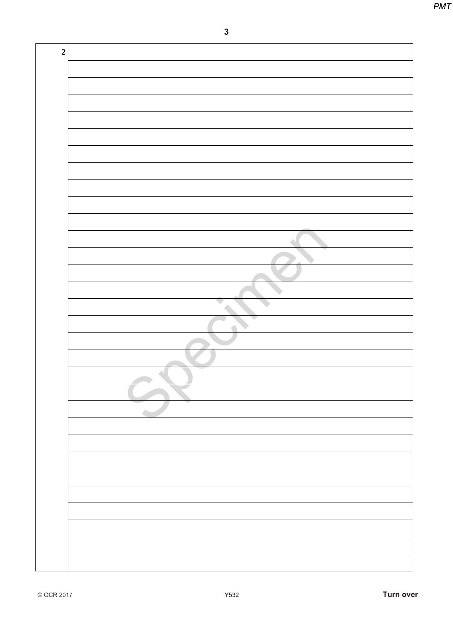| $\mathbf{3}$ |  |
|--------------|--|
|              |  |
|              |  |
|              |  |
|              |  |
|              |  |
|              |  |
|              |  |
|              |  |
|              |  |
|              |  |
|              |  |
|              |  |
|              |  |
|              |  |
|              |  |
|              |  |
|              |  |
|              |  |
|              |  |
|              |  |
|              |  |
|              |  |
|              |  |
|              |  |
|              |  |
|              |  |
|              |  |
|              |  |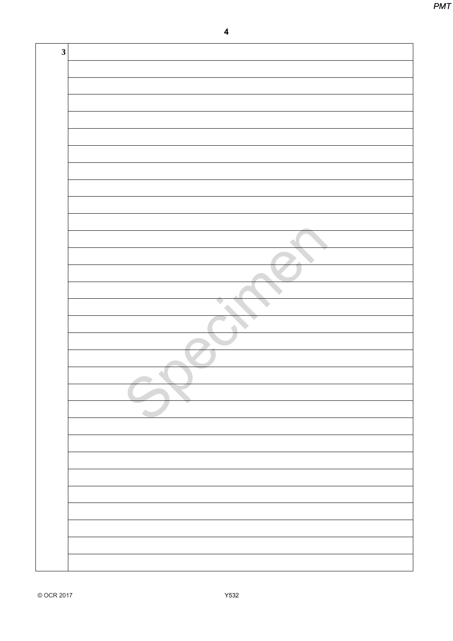| $\overline{\mathbf{3}}$ |  |
|-------------------------|--|
|                         |  |
|                         |  |
|                         |  |
|                         |  |
|                         |  |
|                         |  |
|                         |  |
|                         |  |
|                         |  |
|                         |  |
|                         |  |
|                         |  |
|                         |  |
|                         |  |
|                         |  |
|                         |  |
|                         |  |
|                         |  |
|                         |  |
|                         |  |
|                         |  |
|                         |  |
|                         |  |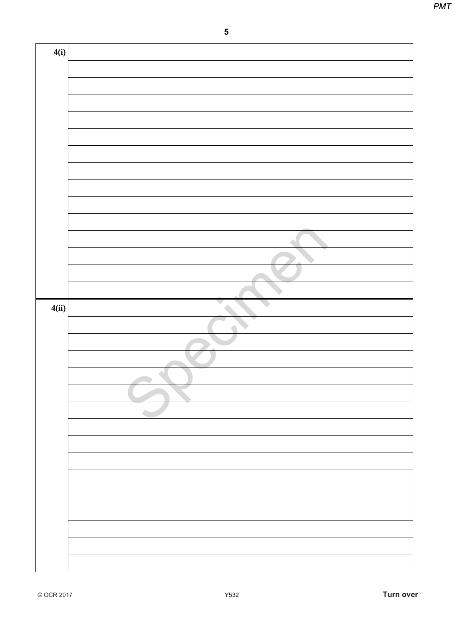|       | ${\bf 5}$ |
|-------|-----------|
|       |           |
| 4(i)  |           |
|       |           |
|       |           |
|       |           |
|       |           |
|       |           |
|       |           |
|       |           |
|       |           |
|       |           |
|       |           |
|       |           |
| 4(ii) |           |
|       |           |
|       |           |
|       |           |
|       |           |
|       |           |
|       |           |
|       |           |
|       |           |
|       |           |
|       |           |
|       |           |
|       |           |
|       |           |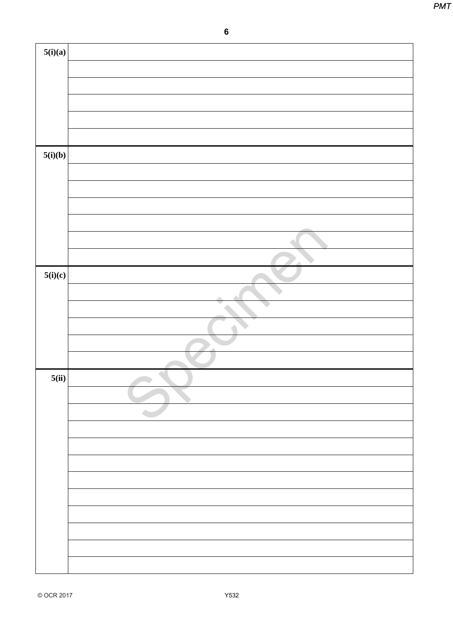|         | $\bf 6$ |
|---------|---------|
| 5(i)(a) |         |
|         |         |
|         |         |
|         |         |
|         |         |
|         |         |
| 5(i)(b) |         |
|         |         |
|         |         |
|         |         |
|         |         |
|         |         |
|         |         |
| 5(i)(c) |         |
|         |         |
|         | e.      |
|         |         |
|         |         |
|         |         |
| 5(ii)   |         |
|         |         |
|         |         |
|         |         |
|         |         |
|         |         |
|         |         |
|         |         |
|         |         |
|         |         |
|         |         |
|         |         |
|         |         |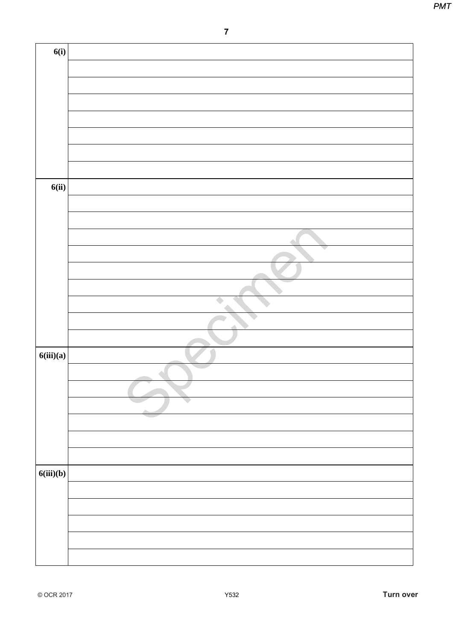|           | $\overline{7}$ |  |
|-----------|----------------|--|
| 6(i)      |                |  |
|           |                |  |
|           |                |  |
|           |                |  |
|           |                |  |
|           |                |  |
|           |                |  |
|           |                |  |
| 6(ii)     |                |  |
|           |                |  |
|           |                |  |
|           |                |  |
|           |                |  |
|           |                |  |
|           |                |  |
|           |                |  |
|           |                |  |
|           |                |  |
| 6(iii)(a) |                |  |
|           |                |  |
|           |                |  |
|           |                |  |
|           |                |  |
|           |                |  |
|           |                |  |
| 6(iii)(b) |                |  |
|           |                |  |
|           |                |  |
|           |                |  |
|           |                |  |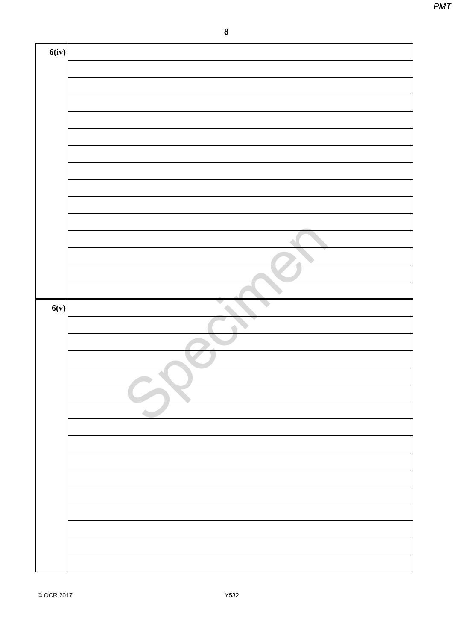|       | $\pmb{8}$ |  |
|-------|-----------|--|
| 6(iv) |           |  |
|       |           |  |
|       |           |  |
|       |           |  |
|       |           |  |
|       |           |  |
|       |           |  |
|       |           |  |
|       |           |  |
|       |           |  |
| 6(v)  |           |  |
|       |           |  |
|       |           |  |
|       |           |  |
|       |           |  |
|       |           |  |
|       |           |  |
|       |           |  |
|       |           |  |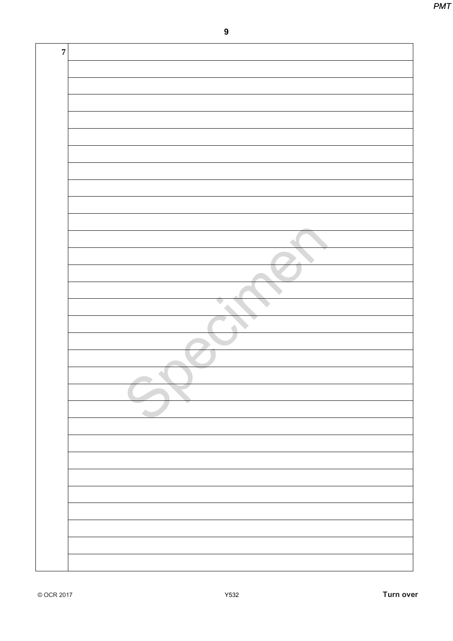| $\boldsymbol{9}$ |  |
|------------------|--|
|                  |  |
|                  |  |
|                  |  |
|                  |  |
|                  |  |
|                  |  |
|                  |  |
|                  |  |
|                  |  |
|                  |  |
|                  |  |
|                  |  |
|                  |  |
| a.               |  |
|                  |  |
|                  |  |
|                  |  |
|                  |  |
|                  |  |
|                  |  |
|                  |  |
|                  |  |
|                  |  |
|                  |  |
|                  |  |
|                  |  |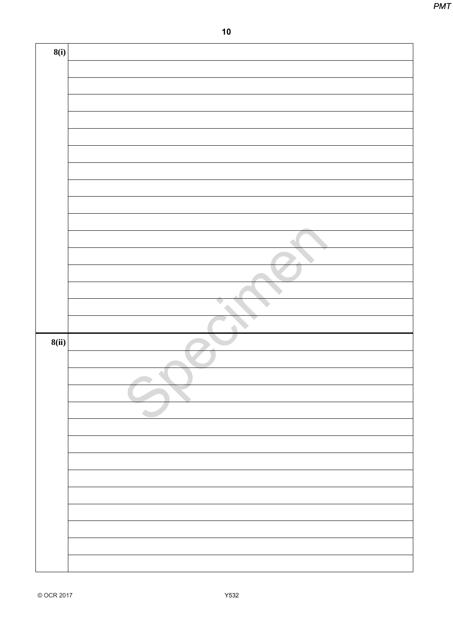|       | 10 |
|-------|----|
| 8(i)  |    |
|       |    |
|       |    |
|       |    |
|       |    |
|       |    |
|       |    |
|       |    |
|       |    |
|       |    |
|       |    |
|       |    |
|       |    |
|       |    |
|       |    |
| 8(ii) |    |
|       |    |
|       |    |
|       |    |
|       |    |
|       |    |
|       |    |
|       |    |
|       |    |
|       |    |
|       |    |
|       |    |
|       |    |
|       |    |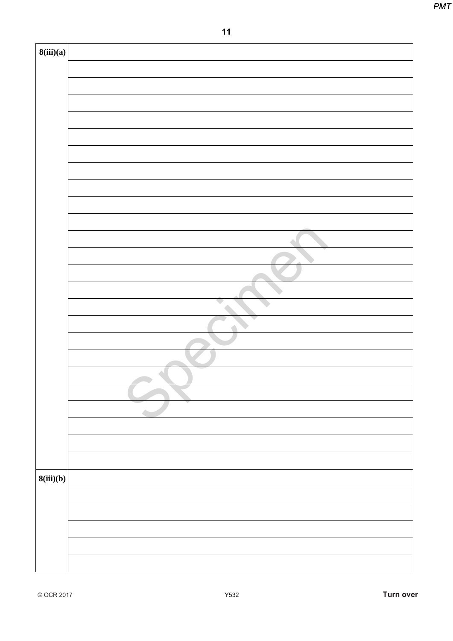| $11$<br>8(iii)(a)<br>8(iii)(b) |  | <b>PMT</b> |
|--------------------------------|--|------------|
|                                |  |            |
|                                |  |            |
|                                |  |            |
|                                |  |            |
|                                |  |            |
|                                |  |            |
|                                |  |            |
|                                |  |            |
|                                |  |            |
|                                |  |            |
|                                |  |            |
|                                |  |            |
|                                |  |            |
|                                |  |            |
|                                |  |            |
|                                |  |            |
|                                |  |            |
|                                |  |            |
|                                |  |            |
|                                |  |            |
|                                |  |            |
|                                |  |            |
|                                |  |            |
|                                |  |            |
|                                |  |            |
|                                |  |            |
|                                |  |            |
|                                |  |            |
|                                |  |            |
|                                |  |            |
|                                |  |            |
|                                |  |            |